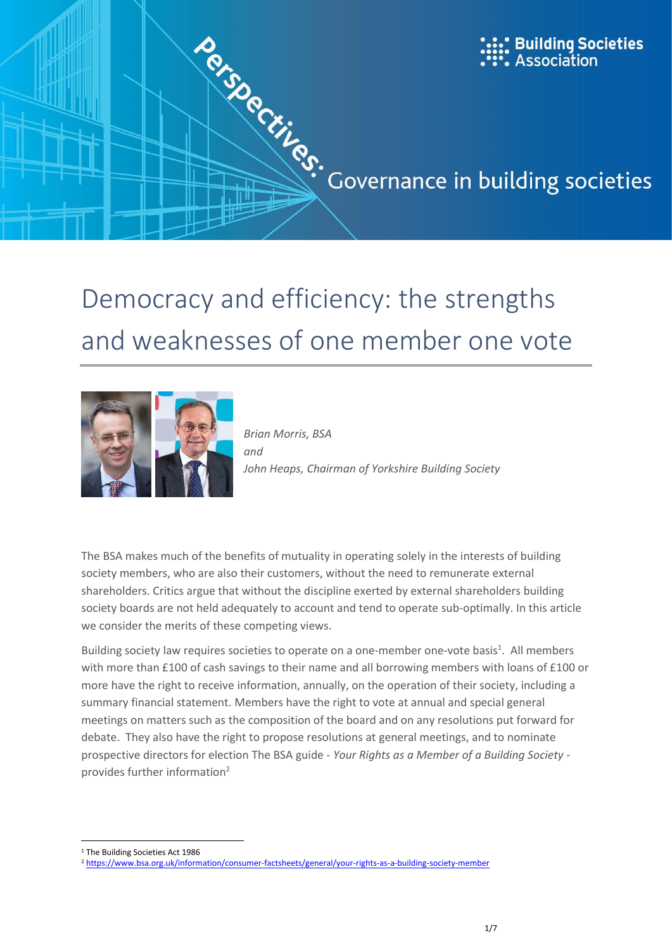

# and weaknesses of one member one vote



*Brian Morris, BSA and John Heaps, Chairman of Yorkshire Building Society*

The BSA makes much of the benefits of mutuality in operating solely in the interests of building society members, who are also their customers, without the need to remunerate external shareholders. Critics argue that without the discipline exerted by external shareholders building society boards are not held adequately to account and tend to operate sub-optimally. In this article we consider the merits of these competing views.

Building society law requires societies to operate on a one-member one-vote basis<sup>1</sup>. All members with more than £100 of cash savings to their name and all borrowing members with loans of £100 or more have the right to receive information, annually, on the operation of their society, including a summary financial statement. Members have the right to vote at annual and special general meetings on matters such as the composition of the board and on any resolutions put forward for debate. They also have the right to propose resolutions at general meetings, and to nominate prospective directors for election The BSA guide - *Your Rights as a Member of a Building Society* provides further information<sup>2</sup>

 $\overline{\phantom{a}}$ <sup>1</sup> The Building Societies Act 1986

<sup>2</sup> <https://www.bsa.org.uk/information/consumer-factsheets/general/your-rights-as-a-building-society-member>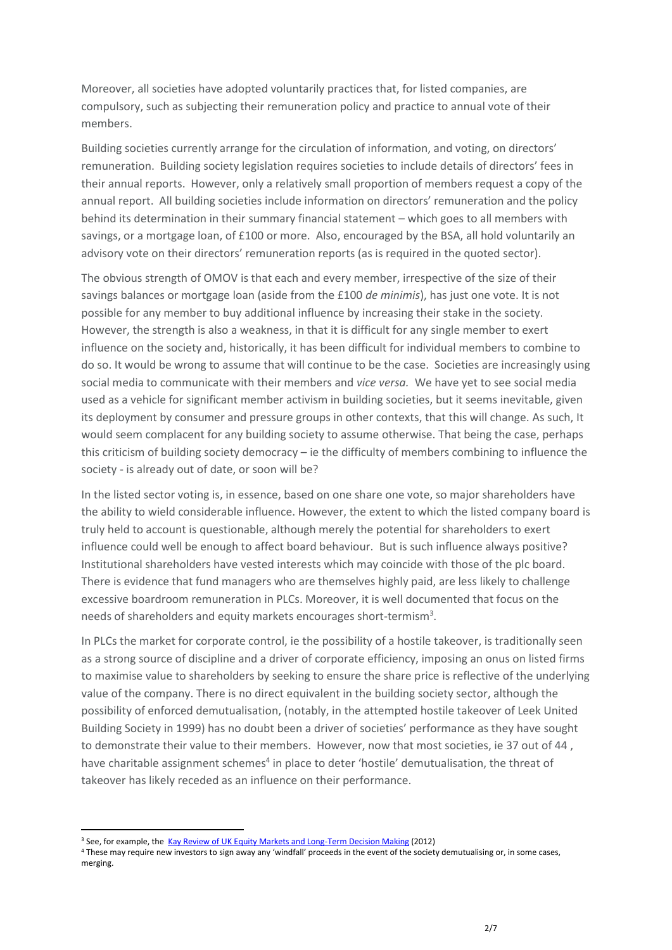Moreover, all societies have adopted voluntarily practices that, for listed companies, are compulsory, such as subjecting their remuneration policy and practice to annual vote of their members.

Building societies currently arrange for the circulation of information, and voting, on directors' remuneration. Building society legislation requires societies to include details of directors' fees in their annual reports. However, only a relatively small proportion of members request a copy of the annual report. All building societies include information on directors' remuneration and the policy behind its determination in their summary financial statement – which goes to all members with savings, or a mortgage loan, of £100 or more. Also, encouraged by the BSA, all hold voluntarily an advisory vote on their directors' remuneration reports (as is required in the quoted sector).

The obvious strength of OMOV is that each and every member, irrespective of the size of their savings balances or mortgage loan (aside from the £100 *de minimis*), has just one vote. It is not possible for any member to buy additional influence by increasing their stake in the society. However, the strength is also a weakness, in that it is difficult for any single member to exert influence on the society and, historically, it has been difficult for individual members to combine to do so. It would be wrong to assume that will continue to be the case. Societies are increasingly using social media to communicate with their members and *vice versa.* We have yet to see social media used as a vehicle for significant member activism in building societies, but it seems inevitable, given its deployment by consumer and pressure groups in other contexts, that this will change. As such, It would seem complacent for any building society to assume otherwise. That being the case, perhaps this criticism of building society democracy – ie the difficulty of members combining to influence the society - is already out of date, or soon will be?

In the listed sector voting is, in essence, based on one share one vote, so major shareholders have the ability to wield considerable influence. However, the extent to which the listed company board is truly held to account is questionable, although merely the potential for shareholders to exert influence could well be enough to affect board behaviour. But is such influence always positive? Institutional shareholders have vested interests which may coincide with those of the plc board. There is evidence that fund managers who are themselves highly paid, are less likely to challenge excessive boardroom remuneration in PLCs. Moreover, it is well documented that focus on the needs of shareholders and equity markets encourages short-termism<sup>3</sup>.

In PLCs the market for corporate control, ie the possibility of a hostile takeover, is traditionally seen as a strong source of discipline and a driver of corporate efficiency, imposing an onus on listed firms to maximise value to shareholders by seeking to ensure the share price is reflective of the underlying value of the company. There is no direct equivalent in the building society sector, although the possibility of enforced demutualisation, (notably, in the attempted hostile takeover of Leek United Building Society in 1999) has no doubt been a driver of societies' performance as they have sought to demonstrate their value to their members. However, now that most societies, ie 37 out of 44 , have charitable assignment schemes<sup>4</sup> in place to deter 'hostile' demutualisation, the threat of takeover has likely receded as an influence on their performance.

**.** 

<sup>&</sup>lt;sup>3</sup> See, for example, the [Kay Review of UK Equity Markets and Long-Term Decision Making](https://www.gov.uk/government/uploads/system/uploads/attachment_data/file/253454/bis-12-917-kay-review-of-equity-markets-final-report.pdf) (2012)

<sup>4</sup> These may require new investors to sign away any 'windfall' proceeds in the event of the society demutualising or, in some cases, merging.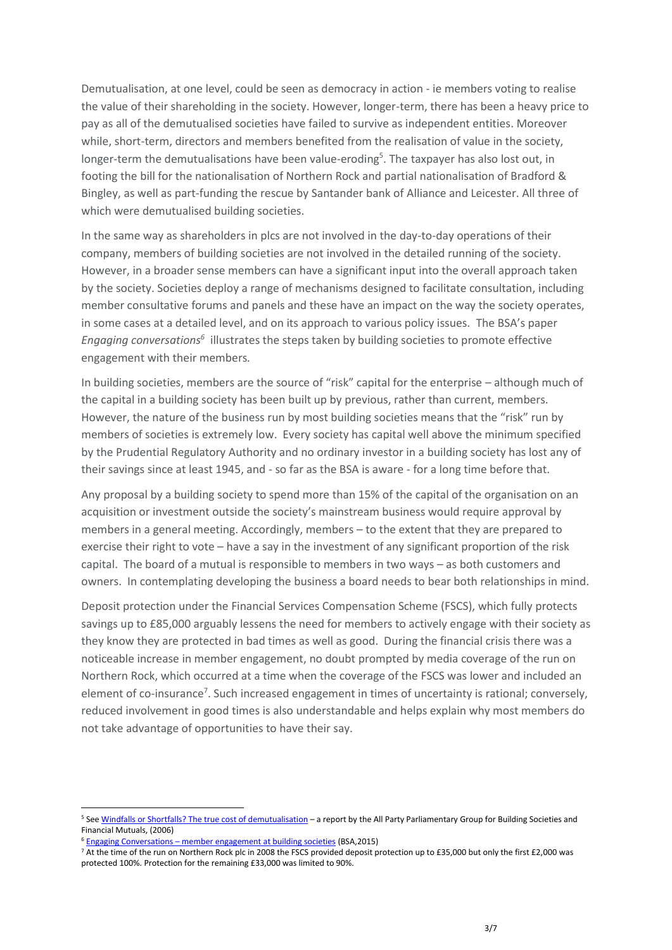Demutualisation, at one level, could be seen as democracy in action - ie members voting to realise the value of their shareholding in the society. However, longer-term, there has been a heavy price to pay as all of the demutualised societies have failed to survive as independent entities. Moreover while, short-term, directors and members benefited from the realisation of value in the society, longer-term the demutualisations have been value-eroding<sup>5</sup>. The taxpayer has also lost out, in footing the bill for the nationalisation of Northern Rock and partial nationalisation of Bradford & Bingley, as well as part-funding the rescue by Santander bank of Alliance and Leicester. All three of which were demutualised building societies.

In the same way as shareholders in plcs are not involved in the day-to-day operations of their company, members of building societies are not involved in the detailed running of the society. However, in a broader sense members can have a significant input into the overall approach taken by the society. Societies deploy a range of mechanisms designed to facilitate consultation, including member consultative forums and panels and these have an impact on the way the society operates, in some cases at a detailed level, and on its approach to various policy issues. The BSA's paper Engaging conversations<sup>6</sup> illustrates the steps taken by building societies to promote effective engagement with their members*.*

In building societies, members are the source of "risk" capital for the enterprise – although much of the capital in a building society has been built up by previous, rather than current, members. However, the nature of the business run by most building societies means that the "risk" run by members of societies is extremely low. Every society has capital well above the minimum specified by the Prudential Regulatory Authority and no ordinary investor in a building society has lost any of their savings since at least 1945, and - so far as the BSA is aware - for a long time before that.

Any proposal by a building society to spend more than 15% of the capital of the organisation on an acquisition or investment outside the society's mainstream business would require approval by members in a general meeting. Accordingly, members – to the extent that they are prepared to exercise their right to vote – have a say in the investment of any significant proportion of the risk capital. The board of a mutual is responsible to members in two ways – as both customers and owners. In contemplating developing the business a board needs to bear both relationships in mind.

Deposit protection under the Financial Services Compensation Scheme (FSCS), which fully protects savings up to £85,000 arguably lessens the need for members to actively engage with their society as they know they are protected in bad times as well as good. During the financial crisis there was a noticeable increase in member engagement, no doubt prompted by media coverage of the run on Northern Rock, which occurred at a time when the coverage of the FSCS was lower and included an element of co-insurance<sup>7</sup>. Such increased engagement in times of uncertainty is rational; conversely, reduced involvement in good times is also understandable and helps explain why most members do not take advantage of opportunities to have their say.

1

<sup>5</sup> Se[e Windfalls or Shortfalls? The true cost of demutualisation](http://www.mutuo.coop/wp-content/uploads/2013/03/windfallsorshortfalls.pdf) – a report by the All Party Parliamentary Group for Building Societies and Financial Mutuals, (2006)

<sup>6</sup> Engaging Conversations – [member engagement at building societies](https://www.bsa.org.uk/information/publications/industry-publications/engaging-conversations) (BSA,2015)

<sup>7</sup> At the time of the run on Northern Rock plc in 2008 the FSCS provided deposit protection up to £35,000 but only the first £2,000 was protected 100%. Protection for the remaining £33,000 was limited to 90%.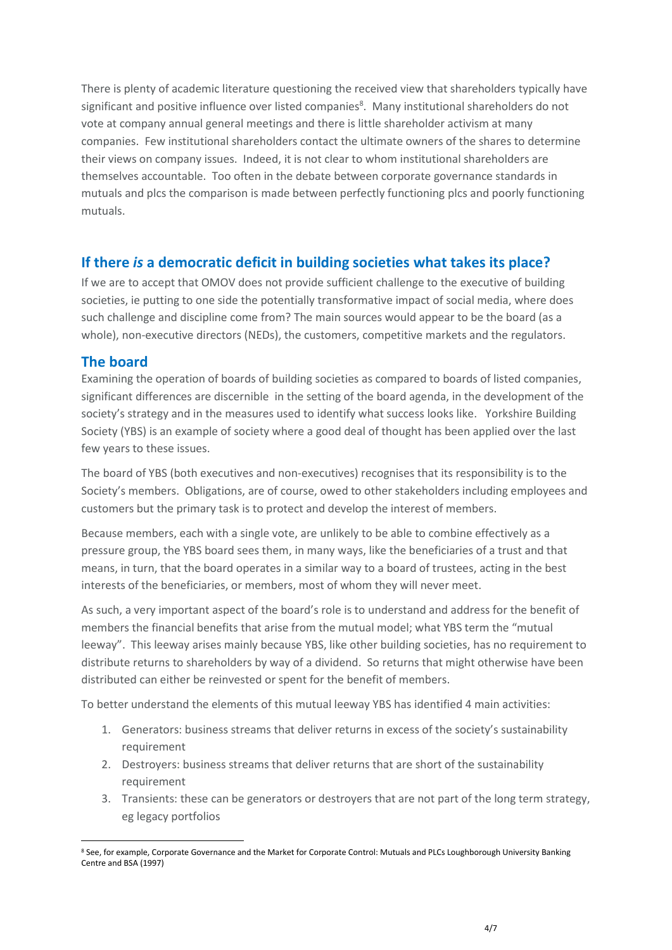There is plenty of academic literature questioning the received view that shareholders typically have significant and positive influence over listed companies<sup>8</sup>. Many institutional shareholders do not vote at company annual general meetings and there is little shareholder activism at many companies. Few institutional shareholders contact the ultimate owners of the shares to determine their views on company issues. Indeed, it is not clear to whom institutional shareholders are themselves accountable. Too often in the debate between corporate governance standards in mutuals and plcs the comparison is made between perfectly functioning plcs and poorly functioning mutuals.

## **If there** *is* **a democratic deficit in building societies what takes its place?**

If we are to accept that OMOV does not provide sufficient challenge to the executive of building societies, ie putting to one side the potentially transformative impact of social media, where does such challenge and discipline come from? The main sources would appear to be the board (as a whole), non-executive directors (NEDs), the customers, competitive markets and the regulators.

## **The board**

 $\overline{\phantom{a}}$ 

Examining the operation of boards of building societies as compared to boards of listed companies, significant differences are discernible in the setting of the board agenda, in the development of the society's strategy and in the measures used to identify what success looks like. Yorkshire Building Society (YBS) is an example of society where a good deal of thought has been applied over the last few years to these issues.

The board of YBS (both executives and non-executives) recognises that its responsibility is to the Society's members. Obligations, are of course, owed to other stakeholders including employees and customers but the primary task is to protect and develop the interest of members.

Because members, each with a single vote, are unlikely to be able to combine effectively as a pressure group, the YBS board sees them, in many ways, like the beneficiaries of a trust and that means, in turn, that the board operates in a similar way to a board of trustees, acting in the best interests of the beneficiaries, or members, most of whom they will never meet.

As such, a very important aspect of the board's role is to understand and address for the benefit of members the financial benefits that arise from the mutual model; what YBS term the "mutual leeway". This leeway arises mainly because YBS, like other building societies, has no requirement to distribute returns to shareholders by way of a dividend. So returns that might otherwise have been distributed can either be reinvested or spent for the benefit of members.

To better understand the elements of this mutual leeway YBS has identified 4 main activities:

- 1. Generators: business streams that deliver returns in excess of the society's sustainability requirement
- 2. Destroyers: business streams that deliver returns that are short of the sustainability requirement
- 3. Transients: these can be generators or destroyers that are not part of the long term strategy, eg legacy portfolios

<sup>8</sup> See, for example, Corporate Governance and the Market for Corporate Control: Mutuals and PLCs Loughborough University Banking Centre and BSA (1997)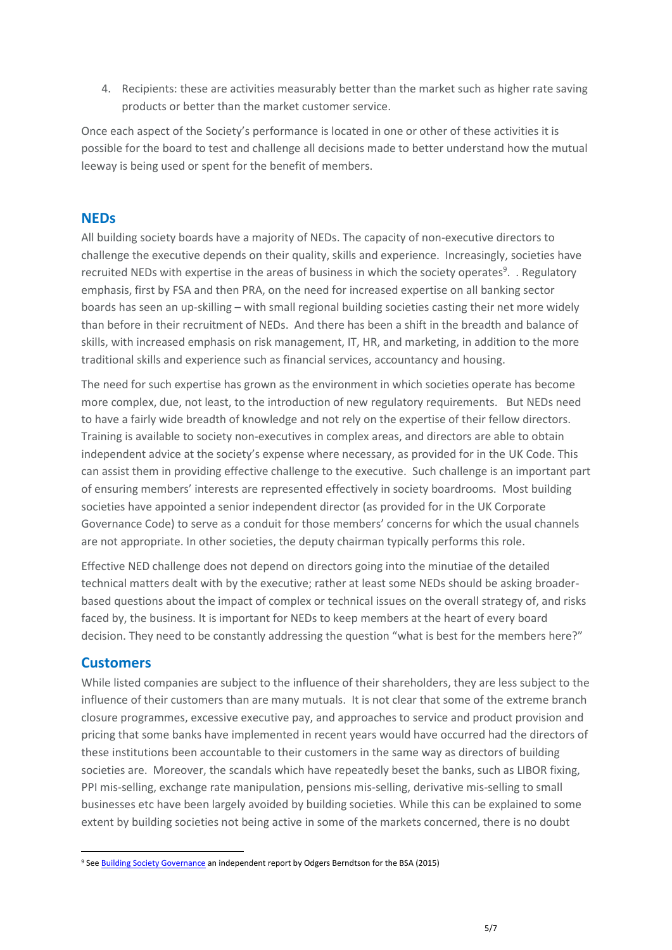4. Recipients: these are activities measurably better than the market such as higher rate saving products or better than the market customer service.

Once each aspect of the Society's performance is located in one or other of these activities it is possible for the board to test and challenge all decisions made to better understand how the mutual leeway is being used or spent for the benefit of members.

## **NEDs**

All building society boards have a majority of NEDs. The capacity of non-executive directors to challenge the executive depends on their quality, skills and experience. Increasingly, societies have recruited NEDs with expertise in the areas of business in which the society operates<sup>9</sup>. . Regulatory emphasis, first by FSA and then PRA, on the need for increased expertise on all banking sector boards has seen an up-skilling – with small regional building societies casting their net more widely than before in their recruitment of NEDs. And there has been a shift in the breadth and balance of skills, with increased emphasis on risk management, IT, HR, and marketing, in addition to the more traditional skills and experience such as financial services, accountancy and housing.

The need for such expertise has grown as the environment in which societies operate has become more complex, due, not least, to the introduction of new regulatory requirements. But NEDs need to have a fairly wide breadth of knowledge and not rely on the expertise of their fellow directors. Training is available to society non-executives in complex areas, and directors are able to obtain independent advice at the society's expense where necessary, as provided for in the UK Code. This can assist them in providing effective challenge to the executive. Such challenge is an important part of ensuring members' interests are represented effectively in society boardrooms. Most building societies have appointed a senior independent director (as provided for in the UK Corporate Governance Code) to serve as a conduit for those members' concerns for which the usual channels are not appropriate. In other societies, the deputy chairman typically performs this role.

Effective NED challenge does not depend on directors going into the minutiae of the detailed technical matters dealt with by the executive; rather at least some NEDs should be asking broaderbased questions about the impact of complex or technical issues on the overall strategy of, and risks faced by, the business. It is important for NEDs to keep members at the heart of every board decision. They need to be constantly addressing the question "what is best for the members here?"

## **Customers**

 $\overline{\phantom{a}}$ 

While listed companies are subject to the influence of their shareholders, they are less subject to the influence of their customers than are many mutuals. It is not clear that some of the extreme branch closure programmes, excessive executive pay, and approaches to service and product provision and pricing that some banks have implemented in recent years would have occurred had the directors of these institutions been accountable to their customers in the same way as directors of building societies are. Moreover, the scandals which have repeatedly beset the banks, such as LIBOR fixing, PPI mis-selling, exchange rate manipulation, pensions mis-selling, derivative mis-selling to small businesses etc have been largely avoided by building societies. While this can be explained to some extent by building societies not being active in some of the markets concerned, there is no doubt

<sup>&</sup>lt;sup>9</sup> See **Building Society Governance** an independent report by Odgers Berndtson for the BSA (2015)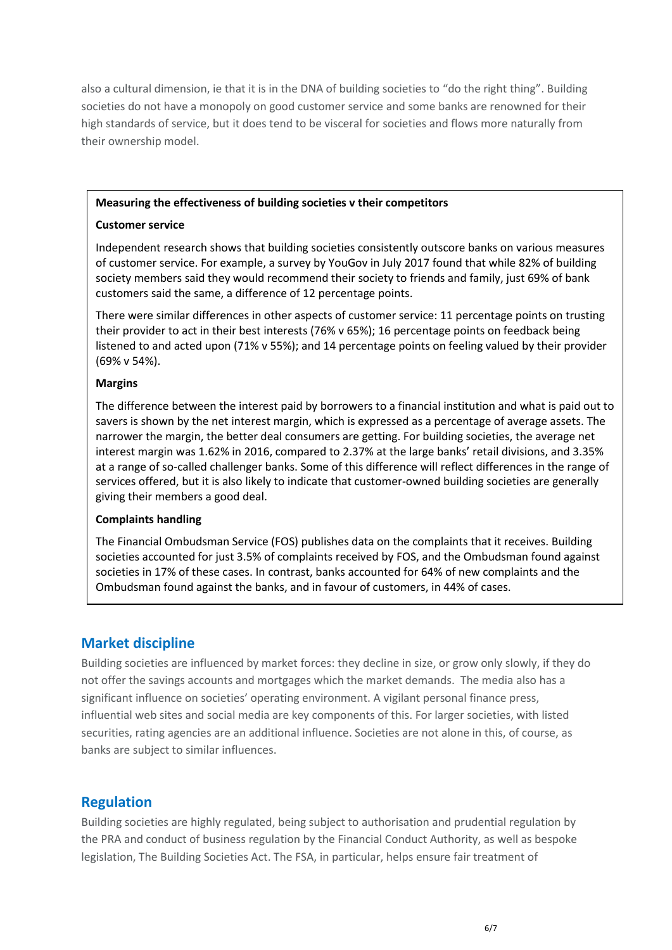also a cultural dimension, ie that it is in the DNA of building societies to "do the right thing". Building societies do not have a monopoly on good customer service and some banks are renowned for their high standards of service, but it does tend to be visceral for societies and flows more naturally from their ownership model.

#### **Measuring the effectiveness of building societies v their competitors**

#### **Customer service**

Independent research shows that building societies consistently outscore banks on various measures of customer service. For example, a survey by YouGov in July 2017 found that while 82% of building society members said they would recommend their society to friends and family, just 69% of bank customers said the same, a difference of 12 percentage points.

There were similar differences in other aspects of customer service: 11 percentage points on trusting their provider to act in their best interests (76% v 65%); 16 percentage points on feedback being listened to and acted upon (71% v 55%); and 14 percentage points on feeling valued by their provider (69% v 54%).

#### **Margins**

The difference between the interest paid by borrowers to a financial institution and what is paid out to savers is shown by the net interest margin, which is expressed as a percentage of average assets. The narrower the margin, the better deal consumers are getting. For building societies, the average net interest margin was 1.62% in 2016, compared to 2.37% at the large banks' retail divisions, and 3.35% at a range of so-called challenger banks. Some of this difference will reflect differences in the range of services offered, but it is also likely to indicate that customer-owned building societies are generally giving their members a good deal.

#### **Complaints handling**

The Financial Ombudsman Service (FOS) publishes data on the complaints that it receives. Building societies accounted for just 3.5% of complaints received by FOS, and the Ombudsman found against societies in 17% of these cases. In contrast, banks accounted for 64% of new complaints and the Ombudsman found against the banks, and in favour of customers, in 44% of cases.

# **Market discipline**

Building societies are influenced by market forces: they decline in size, or grow only slowly, if they do not offer the savings accounts and mortgages which the market demands. The media also has a significant influence on societies' operating environment. A vigilant personal finance press, influential web sites and social media are key components of this. For larger societies, with listed securities, rating agencies are an additional influence. Societies are not alone in this, of course, as banks are subject to similar influences.

# **Regulation**

Building societies are highly regulated, being subject to authorisation and prudential regulation by the PRA and conduct of business regulation by the Financial Conduct Authority, as well as bespoke legislation, The Building Societies Act. The FSA, in particular, helps ensure fair treatment of